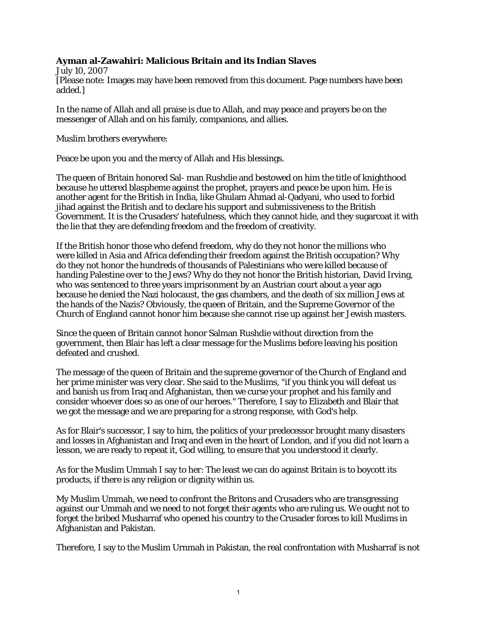## **Ayman al-Zawahiri: Malicious Britain and its Indian Slaves**

July 10, 2007 [Please note: Images may have been removed from this document. Page numbers have been added.]

In the name of Allah and all praise is due to Allah, and may peace and prayers be on the messenger of Allah and on his family, companions, and allies.

Muslim brothers everywhere:

Peace be upon you and the mercy of Allah and His blessings.

The queen of Britain honored Sal- man Rushdie and bestowed on him the title of knighthood because he uttered blaspheme against the prophet, prayers and peace be upon him. He is another agent for the British in India, like Ghulam Ahmad al-Qadyani, who used to forbid jihad against the British and to declare his support and submissiveness to the British Government. It is the Crusaders' hatefulness, which they cannot hide, and they sugarcoat it with the lie that they are defending freedom and the freedom of creativity.

If the British honor those who defend freedom, why do they not honor the millions who were killed in Asia and Africa defending their freedom against the British occupation? Why do they not honor the hundreds of thousands of Palestinians who were killed because of handing Palestine over to the Jews? Why do they not honor the British historian, David Irving, who was sentenced to three years imprisonment by an Austrian court about a year ago because he denied the Nazi holocaust, the gas chambers, and the death of six million Jews at the hands of the Nazis? Obviously, the queen of Britain, and the Supreme Governor of the Church of England cannot honor him because she cannot rise up against her Jewish masters.

Since the queen of Britain cannot honor Salman Rushdie without direction from the government, then Blair has left a clear message for the Muslims before leaving his position defeated and crushed.

The message of the queen of Britain and the supreme governor of the Church of England and her prime minister was very clear. She said to the Muslims, "if you think you will defeat us and banish us from Iraq and Afghanistan, then we curse your prophet and his family and consider whoever does so as one of our heroes." Therefore, I say to Elizabeth and Blair that we got the message and we are preparing for a strong response, with God's help.

As for Blair's successor, I say to him, the politics of your predecessor brought many disasters and losses in Afghanistan and Iraq and even in the heart of London, and if you did not learn a lesson, we are ready to repeat it, God willing, to ensure that you understood it clearly.

As for the Muslim Ummah I say to her: The least we can do against Britain is to boycott its products, if there is any religion or dignity within us.

My Muslim Ummah, we need to confront the Britons and Crusaders who are transgressing against our Ummah and we need to not forget their agents who are ruling us. We ought not to forget the bribed Musharraf who opened his country to the Crusader forces to kill Muslims in Afghanistan and Pakistan.

Therefore, I say to the Muslim Urnmah in Pakistan, the real confrontation with Musharraf is not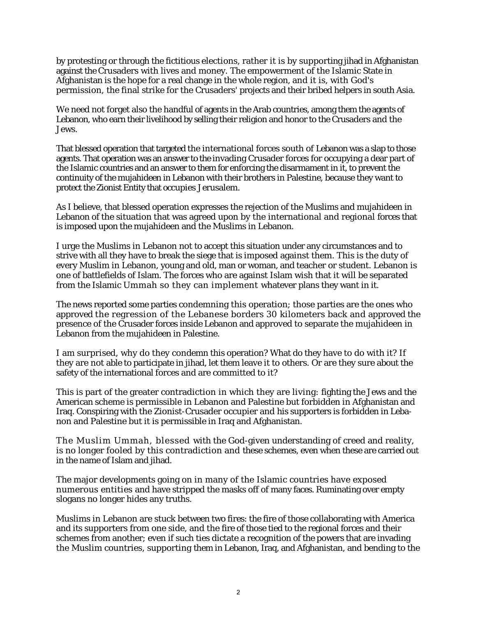by protesting or through the fictitious elections, rather it is by supporting jihad in Afghanistan against the Crusaders with lives and money. The empowerment of the Islamic State in Afghanistan is the hope for a real change in the whole region, and it is, with God's permission, the final strike for the Crusaders' projects and their bribed helpers in south Asia.

We need not forget also the handful of agents in the Arab countries, among them the agents of Lebanon, who earn their livelihood by selling their religion and honor to the Crusaders and the Jews.

That blessed operation that targeted the international forces south of Lebanon was a slap to those agents. That operation was an answer to the invading Crusader forces for occupying a dear part of the Islamic countries and an answer to them for enforcing the disarmament in it, to prevent the continuity of the mujahideen in Lebanon with their brothers in Palestine, because they want to protect the Zionist Entity that occupies Jerusalem.

As I believe, that blessed operation expresses the rejection of the Muslims and mujahideen in Lebanon of the situation that was agreed upon by the international and regional forces that is imposed upon the mujahideen and the Muslims in Lebanon.

I urge the Muslims in Lebanon not to accept this situation under any circumstances and to strive with all they have to break the siege that is imposed against them. This is the duty of every Muslim in Lebanon, young and old, man or woman, and teacher or student. Lebanon is one of battlefields of Islam. The forces who are against Islam wish that it will be separated from the Islamic Ummah so they can implement whatever plans they want in it.

The news reported some parties condemning this operation; those parties are the ones who approved the regression of the Lebanese borders 30 kilometers back and approved the presence of the Crusader forces inside Lebanon and approved to separate the mujahideen in Lebanon from the mujahideen in Palestine.

I am surprised, why do they condemn this operation? What do they have to do with it? If they are not able to participate in jihad, let them leave it to others. Or are they sure about the safety of the international forces and are committed to it?

This is part of the greater contradiction in which they are living: fighting the Jews and the American scheme is permissible in Lebanon and Palestine but forbidden in Afghanistan and Iraq. Conspiring with the Zionist-Crusader occupier and his supporters is forbidden in Lebanon and Palestine but it is permissible in Iraq and Afghanistan.

The Muslim Ummah, blessed with the God-given understanding of creed and reality, is no longer fooled by this contradiction and these schemes, even when these are carried out in the name of Islam and jihad.

The major developments going on in many of the Islamic countries have exposed numerous entities and have stripped the masks off of many faces. Ruminating over empty slogans no longer hides any truths.

Muslims in Lebanon are stuck between two fires: the fire of those collaborating with America and its supporters from one side, and the fire of those tied to the regional forces and their schemes from another; even if such ties dictate a recognition of the powers that are invading the Muslim countries, supporting them in Lebanon, Iraq, and Afghanistan, and bending to the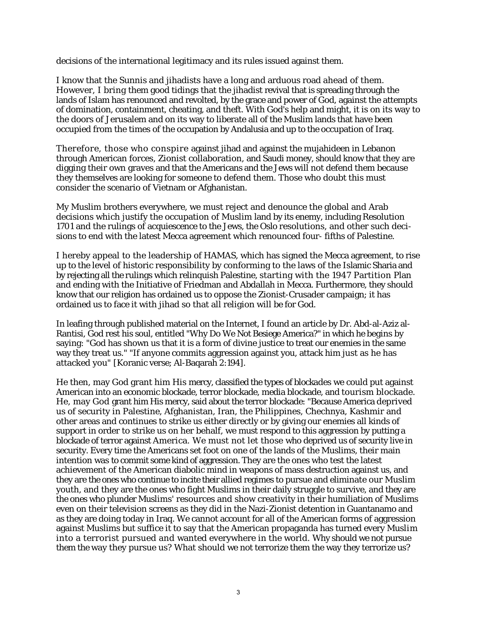decisions of the international legitimacy and its rules issued against them.

I know that the Sunnis and jihadists have a long and arduous road ahead of them. However, I bring them good tidings that the jihadist revival that is spreading through the lands of Islam has renounced and revolted, by the grace and power of God, against the attempts of domination, containment, cheating, and theft. With God's help and might, it is on its way to the doors of Jerusalem and on its way to liberate all of the Muslim lands that have been occupied from the times of the occupation by Andalusia and up to the occupation of Iraq.

Therefore, those who conspire against jihad and against the mujahideen in Lebanon through American forces, Zionist collaboration, and Saudi money, should know that they are digging their own graves and that the Americans and the Jews will not defend them because they themselves are looking for someone to defend them. Those who doubt this must consider the scenario of Vietnam or Afghanistan.

My Muslim brothers everywhere, we must reject and denounce the global and Arab decisions which justify the occupation of Muslim land by its enemy, including Resolution 1701 and the rulings of acquiescence to the Jews, the Oslo resolutions, and other such decisions to end with the latest Mecca agreement which renounced four- fifths of Palestine.

I hereby appeal to the leadership of HAMAS, which has signed the Mecca agreement, to rise up to the level of historic responsibility by conforming to the laws of the Islamic Sharia and by rejecting all the rulings which relinquish Palestine, starting with the 1947 Partition Plan and ending with the Initiative of Friedman and Abdallah in Mecca. Furthermore, they should know that our religion has ordained us to oppose the Zionist-Crusader campaign; it has ordained us to face it with jihad so that all religion will be for God.

In leafing through published material on the Internet, I found an article by Dr. Abd-al-Aziz al-Rantisi, God rest his soul, entitled "Why Do We Not Besiege America?" in which he begins by saying: "God has shown us that it is a form of divine justice to treat our enemies in the same way they treat us." "If anyone commits aggression against you, attack him just as he has attacked you" [Koranic verse; Al-Baqarah 2:194].

He then, may God grant him His mercy, classified the types of blockades we could put against American into an economic blockade, terror blockade, media blockade, and tourism blockade. He, may God grant him His mercy, said about the terror blockade: "Because America deprived us of security in Palestine, Afghanistan, Iran, the Philippines, Chechnya, Kashmir and other areas and continues to strike us either directly or by giving our enemies all kinds of support in order to strike us on her behalf, we must respond to this aggression by putting a blockade of terror against America. We must not let those who deprived us of security live in security. Every time the Americans set foot on one of the lands of the Muslims, their main intention was to commit some kind of aggression. They are the ones who test the latest achievement of the American diabolic mind in weapons of mass destruction against us, and they are the ones who continue to incite their allied regimes to pursue and eliminate our Muslim youth, and they are the ones who fight Muslims in their daily struggle to survive, and they are the ones who plunder Muslims' resources and show creativity in their humiliation of Muslims even on their television screens as they did in the Nazi-Zionist detention in Guantanamo and as they are doing today in Iraq. We cannot account for all of the American forms of aggression against Muslims but suffice it to say that the American propaganda has turned every Muslim into a terrorist pursued and wanted everywhere in the world. Why should we not pursue them the way they pursue us? What should we not terrorize them the way they terrorize us?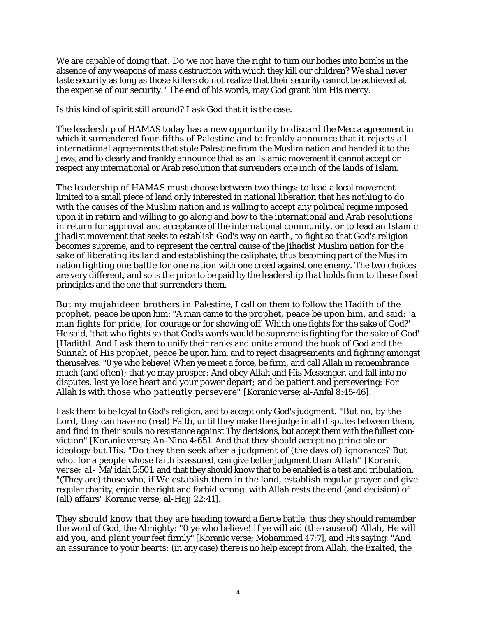We are capable of doing that. Do we not have the right to turn our bodies into bombs in the absence of any weapons of mass destruction with which they kill our children? We shall never taste security as long as those killers do not realize that their security cannot be achieved at the expense of our security." The end of his words, may God grant him His mercy.

Is this kind of spirit still around? I ask God that it is the case.

The leadership of HAMAS today has a new opportunity to discard the Mecca agreement in which it surrendered four-fifths of Palestine and to frankly announce that it rejects all international agreements that stole Palestine from the Muslim nation and handed it to the Jews, and to clearly and frankly announce that as an Islamic movement it cannot accept or respect any international or Arab resolution that surrenders one inch of the lands of Islam.

The leadership of HAMAS must choose between two things: to lead a local movement limited to a small piece of land only interested in national liberation that has nothing to do with the causes of the Muslim nation and is willing to accept any political regime imposed upon it in return and willing to go along and bow to the international and Arab resolutions in return for approval and acceptance of the international community, or to lead an Islamic jihadist movement that seeks to establish God's way on earth, to fight so that God's religion becomes supreme, and to represent the central cause of the jihadist Muslim nation for the sake of liberating its land and establishing the caliphate, thus becoming part of the Muslim nation fighting one battle for one nation with one creed against one enemy. The two choices are very different, and so is the price to be paid by the leadership that holds firm to these fixed principles and the one that surrenders them.

But my mujahideen brothers in Palestine, I call on them to follow the Hadith of the prophet, peace be upon him: "A man came to the prophet, peace be upon him, and said: 'a man fights for pride, for courage or for showing off. Which one fights for the sake of God?' He said, 'that who fights so that God's words would be supreme is fighting for the sake of God' [Hadithl. And I ask them to unify their ranks and unite around the book of God and the Sunnah of His prophet, peace be upon him, and to reject disagreements and fighting amongst themselves. "0 ye who believe! When ye meet a force, be firm, and call Allah in remembrance much (and often); that ye may prosper: And obey Allah and His Messenger. and fall into no disputes, lest ye lose heart and your power depart; and be patient and persevering: For Allah is with those who patiently persevere" [Koranic verse; al-Anfal 8:45-46].

I ask them to be loyal to God's religion, and to accept only God's judgment. "But no, by the Lord, they can have no (real) Faith, until they make thee judge in all disputes between them, and find in their souls no resistance against Thy decisions, but accept them with the fullest conviction" [Koranic verse; An-Nina 4:651. And that they should accept no principle or ideology but His. "Do they then seek after a judgment of (the days of) ignorance? But who, for a people whose faith is assured, can give better judgment than Allah" [Koranic verse; al- Ma' idah 5:501, and that they should know that to be enabled is a test and tribulation. "(They are) those who, if We establish them in the land, establish regular prayer and give regular charity, enjoin the right and forbid wrong: with Allah rests the end (and decision) of (all) affairs" Koranic verse; al-Hajj 22:41].

They should know that they are heading toward a fierce battle, thus they should remember the word of God, the Almighty: "0 ye who believe! If ye will aid (the cause of) Allah, He will aid you, and plant your feet firmly" [Koranic verse; Mohammed 47:7], and His saying: "And an assurance to your hearts: (in any case) there is no help except from Allah, the Exalted, the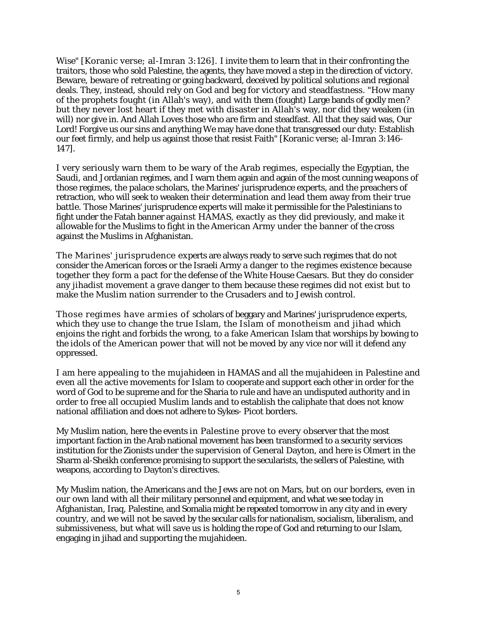Wise" [Koranic verse; al-Imran 3:126]. I invite them to learn that in their confronting the traitors, those who sold Palestine, the agents, they have moved a step in the direction of victory. Beware, beware of retreating or going backward, deceived by political solutions and regional deals. They, instead, should rely on God and beg for victory and steadfastness. "How many of the prophets fought (in Allah's way), and with them (fought) Large bands of godly men? but they never lost heart if they met with disaster in Allah's way, nor did they weaken (in will) nor give in. And Allah Loves those who are firm and steadfast. All that they said was, Our Lord! Forgive us our sins and anything We may have done that transgressed our duty: Establish our feet firmly, and help us against those that resist Faith" [Koranic verse; al-Imran 3:146- 147].

I very seriously warn them to be wary of the Arab regimes, especially the Egyptian, the Saudi, and Jordanian regimes, and I warn them again and again of the most cunning weapons of those regimes, the palace scholars, the Marines' jurisprudence experts, and the preachers of retraction, who will seek to weaken their determination and lead them away from their true battle. Those Marines' jurisprudence experts will make it permissible for the Palestinians to fight under the Fatah banner against HAMAS, exactly as they did previously, and make it allowable for the Muslims to fight in the American Army under the banner of the cross against the Muslims in Afghanistan.

The Marines' jurisprudence experts are always ready to serve such regimes that do not consider the American forces or the Israeli Army a danger to the regimes existence because together they form a pact for the defense of the White House Caesars. But they do consider any jihadist movement a grave danger to them because these regimes did not exist but to make the Muslim nation surrender to the Crusaders and to Jewish control.

Those regimes have armies of scholars of beggary and Marines' jurisprudence experts, which they use to change the true Islam, the Islam of monotheism and jihad which enjoins the right and forbids the wrong, to a fake American Islam that worships by bowing to the idols of the American power that will not be moved by any vice nor will it defend any oppressed.

I am here appealing to the mujahideen in HAMAS and all the mujahideen in Palestine and even all the active movements for Islam to cooperate and support each other in order for the word of God to be supreme and for the Sharia to rule and have an undisputed authority and in order to free all occupied Muslim lands and to establish the caliphate that does not know national affiliation and does not adhere to Sykes- Picot borders.

My Muslim nation, here the events in Palestine prove to every observer that the most important faction in the Arab national movement has been transformed to a security services institution for the Zionists under the supervision of General Dayton, and here is Olmert in the Sharm al-Sheikh conference promising to support the secularists, the sellers of Palestine, with weapons, according to Dayton's directives.

My Muslim nation, the Americans and the Jews are not on Mars, but on our borders, even in our own land with all their military personnel and equipment, and what we see today in Afghanistan, Iraq, Palestine, and Somalia might be repeated tomorrow in any city and in every country, and we will not be saved by the secular calls for nationalism, socialism, liberalism, and submissiveness, but what will save us is holding the rope of God and returning to our Islam, engaging in jihad and supporting the mujahideen.